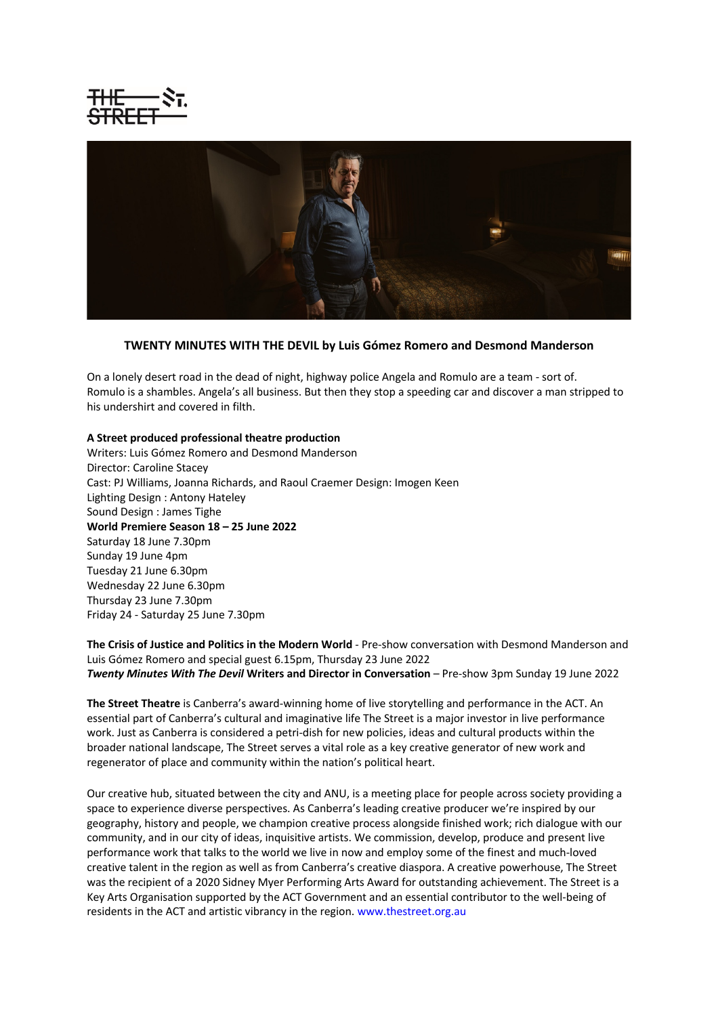



## **TWENTY MINUTES WITH THE DEVIL by Luis Gómez Romero and Desmond Manderson**

On a lonely desert road in the dead of night, highway police Angela and Romulo are a team - sort of. Romulo is a shambles. Angela's all business. But then they stop a speeding car and discover a man stripped to his undershirt and covered in filth.

## **A Street produced professional theatre production**

Writers: Luis Gómez Romero and Desmond Manderson Director: Caroline Stacey Cast: PJ Williams, Joanna Richards, and Raoul Craemer Design: Imogen Keen Lighting Design : Antony Hateley Sound Design : James Tighe **World Premiere Season 18 – 25 June 2022** Saturday 18 June 7.30pm Sunday 19 June 4pm Tuesday 21 June 6.30pm Wednesday 22 June 6.30pm Thursday 23 June 7.30pm Friday 24 - Saturday 25 June 7.30pm

**The Crisis of Justice and Politics in the Modern World** - Pre-show conversation with Desmond Manderson and Luis Gómez Romero and special guest 6.15pm, Thursday 23 June 2022 *Twenty Minutes With The Devil* **Writers and Director in Conversation** – Pre-show 3pm Sunday 19 June 2022

**The Street Theatre** is Canberra's award-winning home of live storytelling and performance in the ACT. An essential part of Canberra's cultural and imaginative life The Street is a major investor in live performance work. Just as Canberra is considered a petri-dish for new policies, ideas and cultural products within the broader national landscape, The Street serves a vital role as a key creative generator of new work and regenerator of place and community within the nation's political heart.

Our creative hub, situated between the city and ANU, is a meeting place for people across society providing a space to experience diverse perspectives. As Canberra's leading creative producer we're inspired by our geography, history and people, we champion creative process alongside finished work; rich dialogue with our community, and in our city of ideas, inquisitive artists. We commission, develop, produce and present live performance work that talks to the world we live in now and employ some of the finest and much-loved creative talent in the region as well as from Canberra's creative diaspora. A creative powerhouse, The Street was the recipient of a 2020 Sidney Myer Performing Arts Award for outstanding achievement. The Street is a Key Arts Organisation supported by the ACT Government and an essential contributor to the well-being of residents in the ACT and artistic vibrancy in the region. www.thestreet.org.au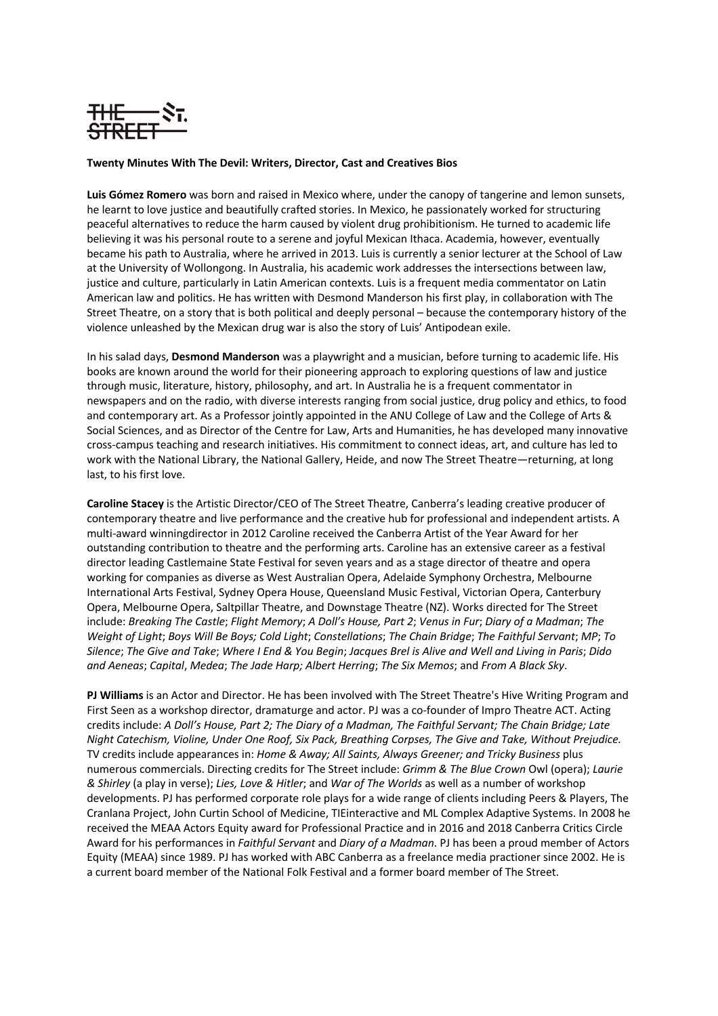

## **Twenty Minutes With The Devil: Writers, Director, Cast and Creatives Bios**

**Luis Gómez Romero** was born and raised in Mexico where, under the canopy of tangerine and lemon sunsets, he learnt to love justice and beautifully crafted stories. In Mexico, he passionately worked for structuring peaceful alternatives to reduce the harm caused by violent drug prohibitionism. He turned to academic life believing it was his personal route to a serene and joyful Mexican Ithaca. Academia, however, eventually became his path to Australia, where he arrived in 2013. Luis is currently a senior lecturer at the School of Law at the University of Wollongong. In Australia, his academic work addresses the intersections between law, justice and culture, particularly in Latin American contexts. Luis is a frequent media commentator on Latin American law and politics. He has written with Desmond Manderson his first play, in collaboration with The Street Theatre, on a story that is both political and deeply personal – because the contemporary history of the violence unleashed by the Mexican drug war is also the story of Luis' Antipodean exile.

In his salad days, **Desmond Manderson** was a playwright and a musician, before turning to academic life. His books are known around the world for their pioneering approach to exploring questions of law and justice through music, literature, history, philosophy, and art. In Australia he is a frequent commentator in newspapers and on the radio, with diverse interests ranging from social justice, drug policy and ethics, to food and contemporary art. As a Professor jointly appointed in the ANU College of Law and the College of Arts & Social Sciences, and as Director of the Centre for Law, Arts and Humanities, he has developed many innovative cross-campus teaching and research initiatives. His commitment to connect ideas, art, and culture has led to work with the National Library, the National Gallery, Heide, and now The Street Theatre—returning, at long last, to his first love.

**Caroline Stacey** is the Artistic Director/CEO of The Street Theatre, Canberra's leading creative producer of contemporary theatre and live performance and the creative hub for professional and independent artists. A multi-award winningdirector in 2012 Caroline received the Canberra Artist of the Year Award for her outstanding contribution to theatre and the performing arts. Caroline has an extensive career as a festival director leading Castlemaine State Festival for seven years and as a stage director of theatre and opera working for companies as diverse as West Australian Opera, Adelaide Symphony Orchestra, Melbourne International Arts Festival, Sydney Opera House, Queensland Music Festival, Victorian Opera, Canterbury Opera, Melbourne Opera, Saltpillar Theatre, and Downstage Theatre (NZ). Works directed for The Street include: *Breaking The Castle*; *Flight Memory*; *A Doll's House, Part 2*; *Venus in Fur*; *Diary of a Madman*; *The Weight of Light*; *Boys Will Be Boys; Cold Light*; *Constellations*; *The Chain Bridge*; *The Faithful Servant*; *MP*; *To Silence*; *The Give and Take*; *Where I End & You Begin*; *Jacques Brel is Alive and Well and Living in Paris*; *Dido and Aeneas*; *Capital*, *Medea*; *The Jade Harp; Albert Herring*; *The Six Memos*; and *From A Black Sky*.

**PJ Williams** is an Actor and Director. He has been involved with The Street Theatre's Hive Writing Program and First Seen as a workshop director, dramaturge and actor. PJ was a co-founder of Impro Theatre ACT. Acting credits include: *A Doll's House, Part 2; The Diary of a Madman, The Faithful Servant; The Chain Bridge; Late Night Catechism, Violine, Under One Roof, Six Pack, Breathing Corpses, The Give and Take, Without Prejudice.*  TV credits include appearances in: *Home & Away; All Saints, Always Greener; and Tricky Business* plus numerous commercials. Directing credits for The Street include: *Grimm & The Blue Crown* Owl (opera); *Laurie & Shirley* (a play in verse); *Lies, Love & Hitler*; and *War of The Worlds* as well as a number of workshop developments. PJ has performed corporate role plays for a wide range of clients including Peers & Players, The Cranlana Project, John Curtin School of Medicine, TIEinteractive and ML Complex Adaptive Systems. In 2008 he received the MEAA Actors Equity award for Professional Practice and in 2016 and 2018 Canberra Critics Circle Award for his performances in *Faithful Servant* and *Diary of a Madman*. PJ has been a proud member of Actors Equity (MEAA) since 1989. PJ has worked with ABC Canberra as a freelance media practioner since 2002. He is a current board member of the National Folk Festival and a former board member of The Street.